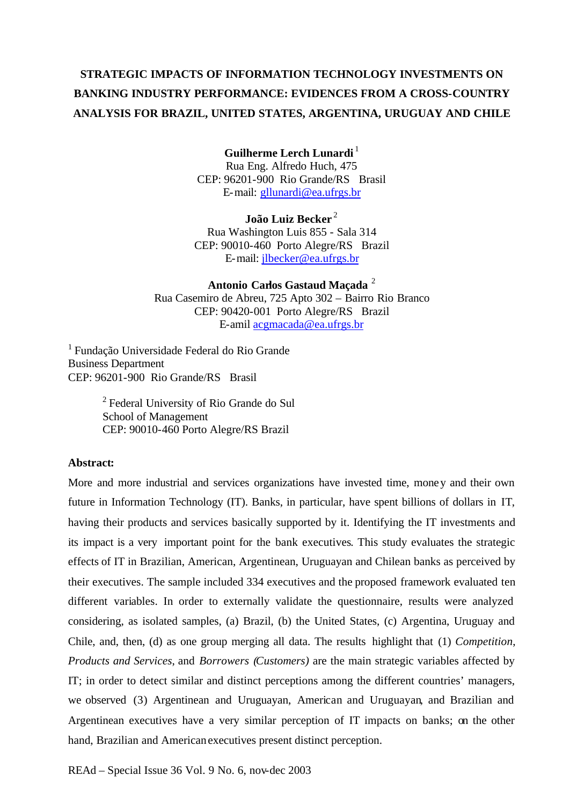# **STRATEGIC IMPACTS OF INFORMATION TECHNOLOGY INVESTMENTS ON BANKING INDUSTRY PERFORMANCE: EVIDENCES FROM A CROSS-COUNTRY ANALYSIS FOR BRAZIL, UNITED STATES, ARGENTINA, URUGUAY AND CHILE**

## **Guilherme Lerch Lunardi**<sup>1</sup>

Rua Eng. Alfredo Huch, 475 CEP: 96201-900 Rio Grande/RS Brasil E-mail: gllunardi@ea.ufrgs.br

**João Luiz Becker** <sup>2</sup> Rua Washington Luis 855 - Sala 314 CEP: 90010-460 Porto Alegre/RS Brazil E-mail: jlbecker@ea.ufrgs.br

**Antonio Carlos Gastaud Maçada** <sup>2</sup> Rua Casemiro de Abreu, 725 Apto 302 – Bairro Rio Branco CEP: 90420-001 Porto Alegre/RS Brazil E-amil acgmacada@ea.ufrgs.br

<sup>1</sup>Fundação Universidade Federal do Rio Grande Business Department CEP: 96201-900 Rio Grande/RS Brasil

> $2$  Federal University of Rio Grande do Sul School of Management CEP: 90010-460 Porto Alegre/RS Brazil

## **Abstract:**

More and more industrial and services organizations have invested time, money and their own future in Information Technology (IT). Banks, in particular, have spent billions of dollars in IT, having their products and services basically supported by it. Identifying the IT investments and its impact is a very important point for the bank executives. This study evaluates the strategic effects of IT in Brazilian, American, Argentinean, Uruguayan and Chilean banks as perceived by their executives. The sample included 334 executives and the proposed framework evaluated ten different variables. In order to externally validate the questionnaire, results were analyzed considering, as isolated samples, (a) Brazil, (b) the United States, (c) Argentina, Uruguay and Chile, and, then, (d) as one group merging all data. The results highlight that (1) *Competition*, *Products and Services*, and *Borrowers (Customers)* are the main strategic variables affected by IT; in order to detect similar and distinct perceptions among the different countries' managers, we observed (3) Argentinean and Uruguayan, American and Uruguayan, and Brazilian and Argentinean executives have a very similar perception of IT impacts on banks; on the other hand, Brazilian and American executives present distinct perception.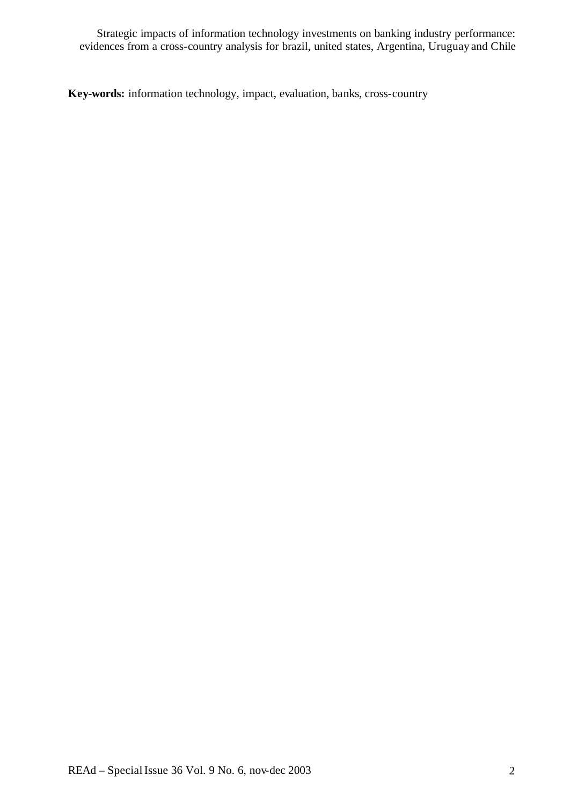**Key-words:** information technology, impact, evaluation, banks, cross-country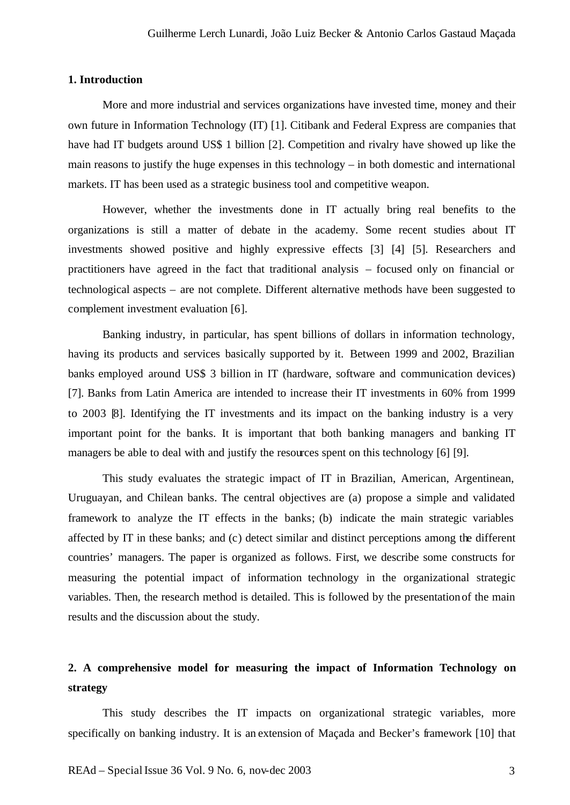#### **1. Introduction**

More and more industrial and services organizations have invested time, money and their own future in Information Technology (IT) [1]. Citibank and Federal Express are companies that have had IT budgets around US\$ 1 billion [2]. Competition and rivalry have showed up like the main reasons to justify the huge expenses in this technology – in both domestic and international markets. IT has been used as a strategic business tool and competitive weapon.

However, whether the investments done in IT actually bring real benefits to the organizations is still a matter of debate in the academy. Some recent studies about IT investments showed positive and highly expressive effects [3] [4] [5]. Researchers and practitioners have agreed in the fact that traditional analysis – focused only on financial or technological aspects – are not complete. Different alternative methods have been suggested to complement investment evaluation [6].

Banking industry, in particular, has spent billions of dollars in information technology, having its products and services basically supported by it. Between 1999 and 2002, Brazilian banks employed around US\$ 3 billion in IT (hardware, software and communication devices) [7]. Banks from Latin America are intended to increase their IT investments in 60% from 1999 to 2003 [8]. Identifying the IT investments and its impact on the banking industry is a very important point for the banks. It is important that both banking managers and banking IT managers be able to deal with and justify the resources spent on this technology [6] [9].

This study evaluates the strategic impact of IT in Brazilian, American, Argentinean, Uruguayan, and Chilean banks. The central objectives are (a) propose a simple and validated framework to analyze the IT effects in the banks; (b) indicate the main strategic variables affected by IT in these banks; and (c) detect similar and distinct perceptions among the different countries' managers. The paper is organized as follows. First, we describe some constructs for measuring the potential impact of information technology in the organizational strategic variables. Then, the research method is detailed. This is followed by the presentationof the main results and the discussion about the study.

## **2. A comprehensive model for measuring the impact of Information Technology on strategy**

This study describes the IT impacts on organizational strategic variables, more specifically on banking industry. It is an extension of Maçada and Becker's framework [10] that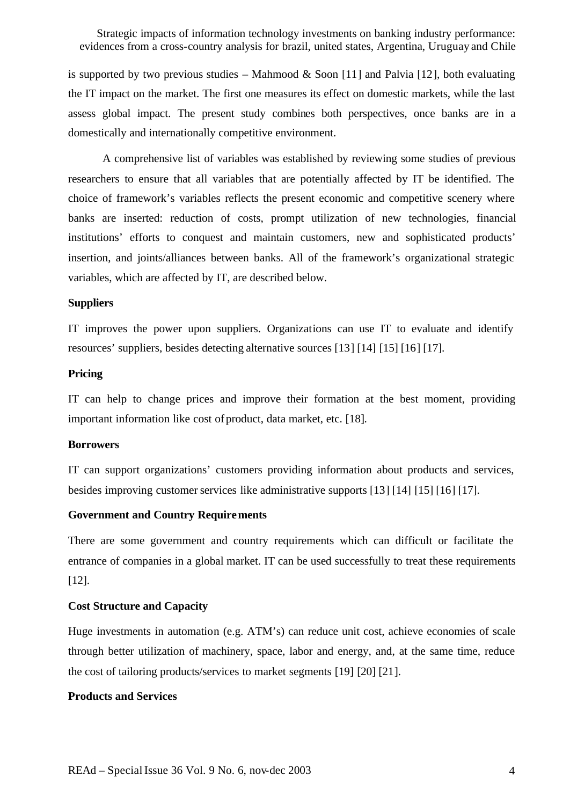is supported by two previous studies – Mahmood & Soon [11] and Palvia [12], both evaluating the IT impact on the market. The first one measures its effect on domestic markets, while the last assess global impact. The present study combines both perspectives, once banks are in a domestically and internationally competitive environment.

A comprehensive list of variables was established by reviewing some studies of previous researchers to ensure that all variables that are potentially affected by IT be identified. The choice of framework's variables reflects the present economic and competitive scenery where banks are inserted: reduction of costs, prompt utilization of new technologies, financial institutions' efforts to conquest and maintain customers, new and sophisticated products' insertion, and joints/alliances between banks. All of the framework's organizational strategic variables, which are affected by IT, are described below.

#### **Suppliers**

IT improves the power upon suppliers. Organizations can use IT to evaluate and identify resources' suppliers, besides detecting alternative sources [13] [14] [15] [16] [17].

## **Pricing**

IT can help to change prices and improve their formation at the best moment, providing important information like cost of product, data market, etc. [18].

#### **Borrowers**

IT can support organizations' customers providing information about products and services, besides improving customer services like administrative supports  $[13] [14] [15] [16] [17]$ .

#### **Government and Country Requirements**

There are some government and country requirements which can difficult or facilitate the entrance of companies in a global market. IT can be used successfully to treat these requirements [12].

#### **Cost Structure and Capacity**

Huge investments in automation (e.g. ATM's) can reduce unit cost, achieve economies of scale through better utilization of machinery, space, labor and energy, and, at the same time, reduce the cost of tailoring products/services to market segments [19] [20] [21].

#### **Products and Services**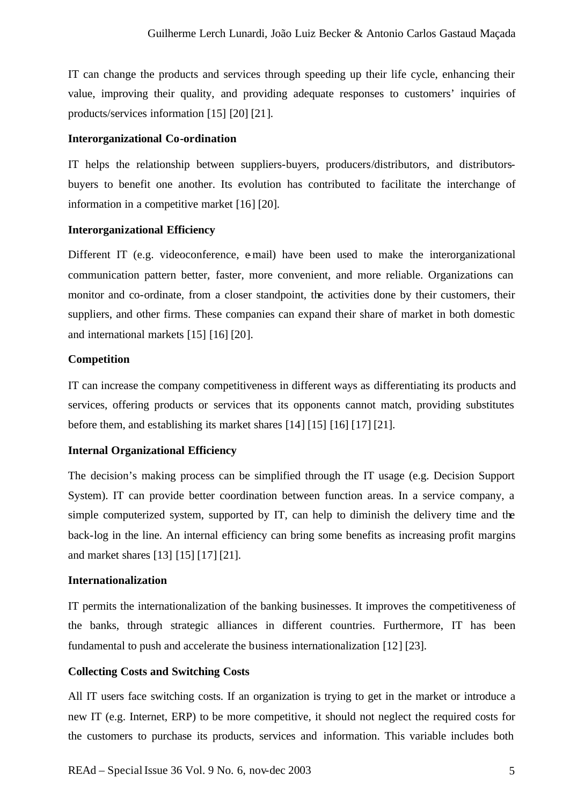IT can change the products and services through speeding up their life cycle, enhancing their value, improving their quality, and providing adequate responses to customers' inquiries of products/services information [15] [20] [21].

### **Interorganizational Co-ordination**

IT helps the relationship between suppliers-buyers, producers/distributors, and distributorsbuyers to benefit one another. Its evolution has contributed to facilitate the interchange of information in a competitive market [16] [20].

#### **Interorganizational Efficiency**

Different IT (e.g. videoconference, e-mail) have been used to make the interorganizational communication pattern better, faster, more convenient, and more reliable. Organizations can monitor and co-ordinate, from a closer standpoint, the activities done by their customers, their suppliers, and other firms. These companies can expand their share of market in both domestic and international markets [15] [16] [20].

## **Competition**

IT can increase the company competitiveness in different ways as differentiating its products and services, offering products or services that its opponents cannot match, providing substitutes before them, and establishing its market shares [14] [15] [16] [17] [21].

## **Internal Organizational Efficiency**

The decision's making process can be simplified through the IT usage (e.g. Decision Support System). IT can provide better coordination between function areas. In a service company, a simple computerized system, supported by IT, can help to diminish the delivery time and the back-log in the line. An internal efficiency can bring some benefits as increasing profit margins and market shares [13] [15] [17] [21].

## **Internationalization**

IT permits the internationalization of the banking businesses. It improves the competitiveness of the banks, through strategic alliances in different countries. Furthermore, IT has been fundamental to push and accelerate the business internationalization [12] [23].

#### **Collecting Costs and Switching Costs**

All IT users face switching costs. If an organization is trying to get in the market or introduce a new IT (e.g. Internet, ERP) to be more competitive, it should not neglect the required costs for the customers to purchase its products, services and information. This variable includes both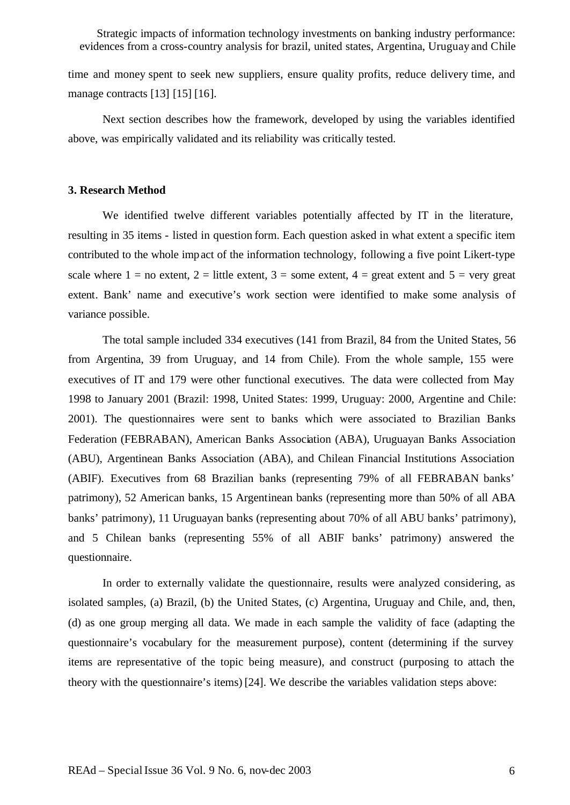time and money spent to seek new suppliers, ensure quality profits, reduce delivery time, and manage contracts [13] [15] [16].

Next section describes how the framework, developed by using the variables identified above, was empirically validated and its reliability was critically tested.

#### **3. Research Method**

We identified twelve different variables potentially affected by IT in the literature, resulting in 35 items - listed in question form. Each question asked in what extent a specific item contributed to the whole impact of the information technology, following a five point Likert-type scale where  $1 =$  no extent,  $2 =$  little extent,  $3 =$  some extent,  $4 =$  great extent and  $5 =$  very great extent. Bank' name and executive's work section were identified to make some analysis of variance possible.

The total sample included 334 executives (141 from Brazil, 84 from the United States, 56 from Argentina, 39 from Uruguay, and 14 from Chile). From the whole sample, 155 were executives of IT and 179 were other functional executives. The data were collected from May 1998 to January 2001 (Brazil: 1998, United States: 1999, Uruguay: 2000, Argentine and Chile: 2001). The questionnaires were sent to banks which were associated to Brazilian Banks Federation (FEBRABAN), American Banks Association (ABA), Uruguayan Banks Association (ABU), Argentinean Banks Association (ABA), and Chilean Financial Institutions Association (ABIF). Executives from 68 Brazilian banks (representing 79% of all FEBRABAN banks' patrimony), 52 American banks, 15 Argentinean banks (representing more than 50% of all ABA banks' patrimony), 11 Uruguayan banks (representing about 70% of all ABU banks' patrimony), and 5 Chilean banks (representing 55% of all ABIF banks' patrimony) answered the questionnaire.

In order to externally validate the questionnaire, results were analyzed considering, as isolated samples, (a) Brazil, (b) the United States, (c) Argentina, Uruguay and Chile, and, then, (d) as one group merging all data. We made in each sample the validity of face (adapting the questionnaire's vocabulary for the measurement purpose), content (determining if the survey items are representative of the topic being measure), and construct (purposing to attach the theory with the questionnaire's items) [24]. We describe the variables validation steps above: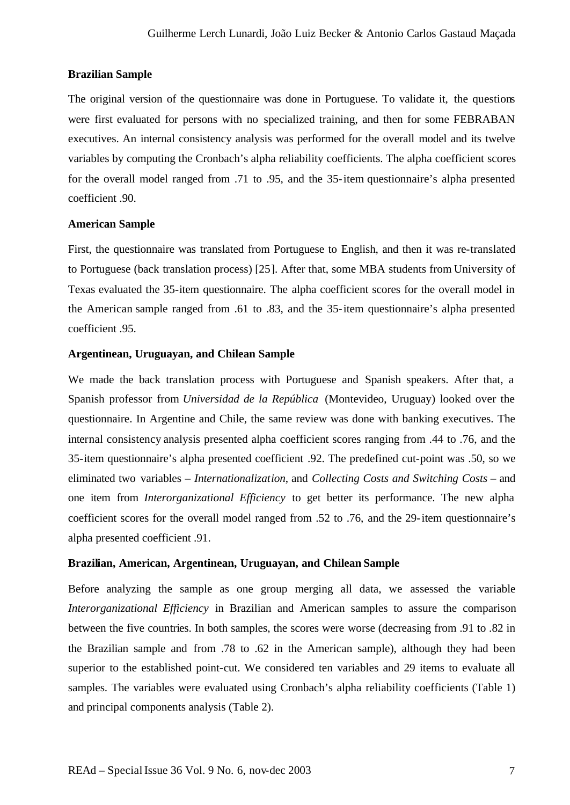## **Brazilian Sample**

The original version of the questionnaire was done in Portuguese. To validate it, the questions were first evaluated for persons with no specialized training, and then for some FEBRABAN executives. An internal consistency analysis was performed for the overall model and its twelve variables by computing the Cronbach's alpha reliability coefficients. The alpha coefficient scores for the overall model ranged from .71 to .95, and the 35-item questionnaire's alpha presented coefficient .90.

## **American Sample**

First, the questionnaire was translated from Portuguese to English, and then it was re-translated to Portuguese (back translation process) [25]. After that, some MBA students from University of Texas evaluated the 35-item questionnaire. The alpha coefficient scores for the overall model in the American sample ranged from .61 to .83, and the 35-item questionnaire's alpha presented coefficient .95.

## **Argentinean, Uruguayan, and Chilean Sample**

We made the back translation process with Portuguese and Spanish speakers. After that, a Spanish professor from *Universidad de la República* (Montevideo, Uruguay) looked over the questionnaire. In Argentine and Chile, the same review was done with banking executives. The internal consistency analysis presented alpha coefficient scores ranging from .44 to .76, and the 35-item questionnaire's alpha presented coefficient .92. The predefined cut-point was .50, so we eliminated two variables – *Internationalization*, and *Collecting Costs and Switching Costs* – and one item from *Interorganizational Efficiency* to get better its performance. The new alpha coefficient scores for the overall model ranged from .52 to .76, and the 29-item questionnaire's alpha presented coefficient .91.

## **Brazilian, American, Argentinean, Uruguayan, and Chilean Sample**

Before analyzing the sample as one group merging all data, we assessed the variable *Interorganizational Efficiency* in Brazilian and American samples to assure the comparison between the five countries. In both samples, the scores were worse (decreasing from .91 to .82 in the Brazilian sample and from .78 to .62 in the American sample), although they had been superior to the established point-cut. We considered ten variables and 29 items to evaluate all samples. The variables were evaluated using Cronbach's alpha reliability coefficients (Table 1) and principal components analysis (Table 2).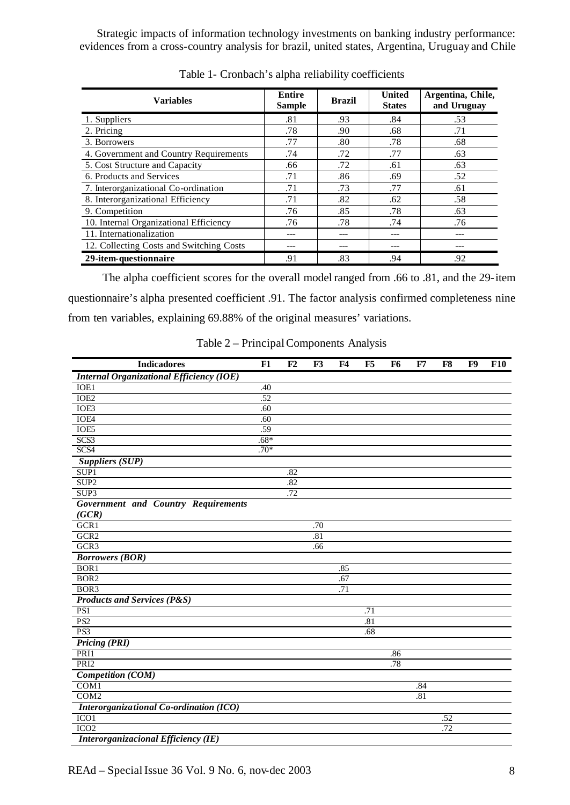| <b>Variables</b>                         | <b>Entire</b><br><b>Sample</b> | <b>Brazil</b> | <b>United</b><br><b>States</b> | Argentina, Chile,<br>and Uruguay |
|------------------------------------------|--------------------------------|---------------|--------------------------------|----------------------------------|
| 1. Suppliers                             | .81                            | .93           | .84                            | .53                              |
| 2. Pricing                               | .78                            | .90           | .68                            | .71                              |
| 3. Borrowers                             | .77                            | .80           | .78                            | .68                              |
| 4. Government and Country Requirements   | .74                            | .72           | .77                            | .63                              |
| 5. Cost Structure and Capacity           | .66                            | .72           | .61                            | .63                              |
| 6. Products and Services                 | .71                            | .86           | .69                            | .52                              |
| 7. Interorganizational Co-ordination     | .71                            | .73           | .77                            | .61                              |
| 8. Interorganizational Efficiency        | .71                            | .82           | .62                            | .58                              |
| 9. Competition                           | .76                            | .85           | .78                            | .63                              |
| 10. Internal Organizational Efficiency   | .76                            | .78           | .74                            | .76                              |
| 11. Internationalization                 |                                |               |                                |                                  |
| 12. Collecting Costs and Switching Costs |                                |               | ---                            |                                  |
| 29-item-questionnaire                    | .91                            | .83           | .94                            | .92                              |

Table 1- Cronbach's alpha reliability coefficients

The alpha coefficient scores for the overall model ranged from .66 to .81, and the 29-item questionnaire's alpha presented coefficient .91. The factor analysis confirmed completeness nine from ten variables, explaining 69.88% of the original measures' variations.

|  |  |  | Table 2 – Principal Components Analysis |  |
|--|--|--|-----------------------------------------|--|
|--|--|--|-----------------------------------------|--|

| <b>Indicadores</b>                              | F1     | F2  | F <sub>3</sub> | F4  | F5  | F6  | F7  | F8  | F9 | <b>F10</b> |
|-------------------------------------------------|--------|-----|----------------|-----|-----|-----|-----|-----|----|------------|
| <b>Internal Organizational Efficiency (IOE)</b> |        |     |                |     |     |     |     |     |    |            |
| IOE1                                            | .40    |     |                |     |     |     |     |     |    |            |
| IOE <sub>2</sub>                                | .52    |     |                |     |     |     |     |     |    |            |
| IOE3                                            | .60    |     |                |     |     |     |     |     |    |            |
| IOE4                                            | .60    |     |                |     |     |     |     |     |    |            |
| IOE5                                            | .59    |     |                |     |     |     |     |     |    |            |
| SCS3                                            | $.68*$ |     |                |     |     |     |     |     |    |            |
| SCS4                                            | $.70*$ |     |                |     |     |     |     |     |    |            |
| <b>Suppliers (SUP)</b>                          |        |     |                |     |     |     |     |     |    |            |
| SUP <sub>1</sub>                                |        | .82 |                |     |     |     |     |     |    |            |
| SUP <sub>2</sub>                                |        | .82 |                |     |     |     |     |     |    |            |
| SUP <sub>3</sub>                                |        | .72 |                |     |     |     |     |     |    |            |
| <b>Government and Country Requirements</b>      |        |     |                |     |     |     |     |     |    |            |
| (GCR)                                           |        |     |                |     |     |     |     |     |    |            |
| GCR1                                            |        |     | .70            |     |     |     |     |     |    |            |
| GCR <sub>2</sub>                                |        |     | .81            |     |     |     |     |     |    |            |
| GCR <sub>3</sub>                                |        |     | .66            |     |     |     |     |     |    |            |
| <b>Borrowers</b> (BOR)                          |        |     |                |     |     |     |     |     |    |            |
| BOR <sub>1</sub>                                |        |     |                | .85 |     |     |     |     |    |            |
| BOR <sub>2</sub>                                |        |     |                | .67 |     |     |     |     |    |            |
| BOR3                                            |        |     |                | .71 |     |     |     |     |    |            |
| <b>Products and Services (P&amp;S)</b>          |        |     |                |     |     |     |     |     |    |            |
| PS1                                             |        |     |                |     | .71 |     |     |     |    |            |
| PS <sub>2</sub>                                 |        |     |                |     | .81 |     |     |     |    |            |
| PS3                                             |        |     |                |     | .68 |     |     |     |    |            |
| <b>Pricing (PRI)</b>                            |        |     |                |     |     |     |     |     |    |            |
| PRI1                                            |        |     |                |     |     | .86 |     |     |    |            |
| PRI <sub>2</sub>                                |        |     |                |     |     | .78 |     |     |    |            |
| <b>Competition (COM)</b>                        |        |     |                |     |     |     |     |     |    |            |
| COM1                                            |        |     |                |     |     |     | .84 |     |    |            |
| COM <sub>2</sub>                                |        |     |                |     |     |     | .81 |     |    |            |
| <b>Interorganizational Co-ordination (ICO)</b>  |        |     |                |     |     |     |     |     |    |            |
| ICO <sub>1</sub>                                |        |     |                |     |     |     |     | .52 |    |            |
| ICO <sub>2</sub>                                |        |     |                |     |     |     |     | .72 |    |            |
| Interorganizacional Efficiency (IE)             |        |     |                |     |     |     |     |     |    |            |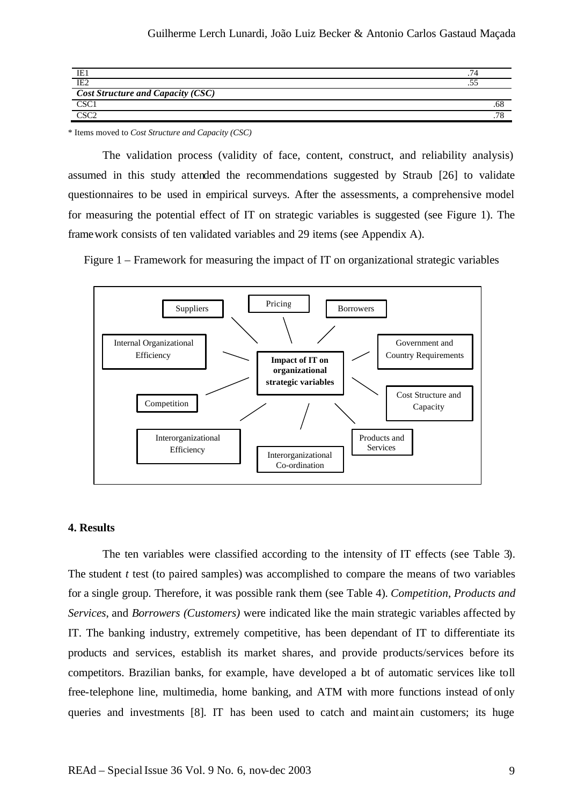| IE <sub>2</sub>                          | $\sim$ |
|------------------------------------------|--------|
| <b>Cost Structure and Capacity (CSC)</b> |        |
| CSC:                                     | 50.    |
| $\sim$                                   |        |

\* Items moved to *Cost Structure and Capacity (CSC)*

The validation process (validity of face, content, construct, and reliability analysis) assumed in this study attended the recommendations suggested by Straub [26] to validate questionnaires to be used in empirical surveys. After the assessments, a comprehensive model for measuring the potential effect of IT on strategic variables is suggested (see Figure 1). The framework consists of ten validated variables and 29 items (see Appendix A).

Figure 1 – Framework for measuring the impact of IT on organizational strategic variables



#### **4. Results**

The ten variables were classified according to the intensity of IT effects (see Table 3). The student *t* test (to paired samples) was accomplished to compare the means of two variables for a single group. Therefore, it was possible rank them (see Table 4). *Competition*, *Products and Services*, and *Borrowers (Customers)* were indicated like the main strategic variables affected by IT. The banking industry, extremely competitive, has been dependant of IT to differentiate its products and services, establish its market shares, and provide products/services before its competitors. Brazilian banks, for example, have developed a bt of automatic services like toll free-telephone line, multimedia, home banking, and ATM with more functions instead of only queries and investments [8]. IT has been used to catch and maint ain customers; its huge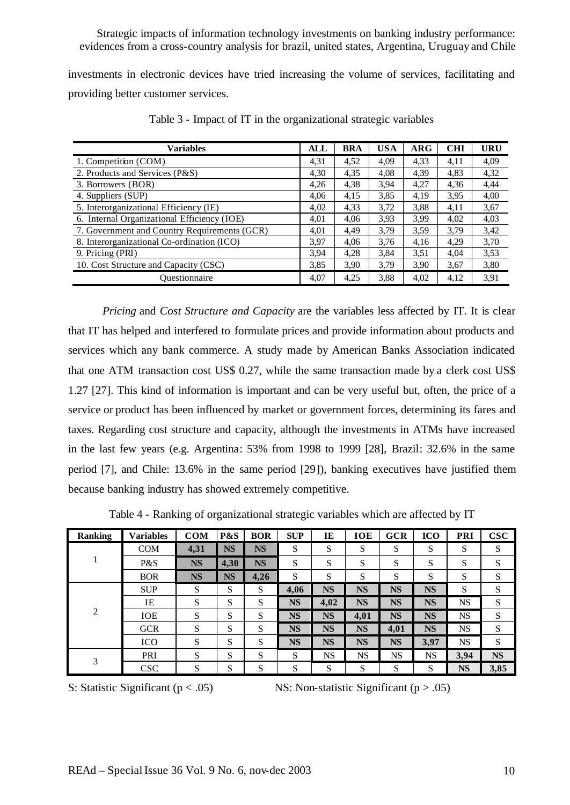investments in electronic devices have tried increasing the volume of services, facilitating and providing better customer services.

| <b>Variables</b>                             | <b>ALL</b> | <b>BRA</b> | <b>USA</b> | $\bf{ARG}$ | <b>CHI</b> | <b>URU</b> |
|----------------------------------------------|------------|------------|------------|------------|------------|------------|
| 1. Competition (COM)                         | 4,31       | 4,52       | 4,09       | 4,33       | 4,11       | 4,09       |
| 2. Products and Services (P&S)               | 4,30       | 4,35       | 4,08       | 4,39       | 4,83       | 4,32       |
| 3. Borrowers (BOR)                           | 4,26       | 4,38       | 3,94       | 4,27       | 4,36       | 4,44       |
| 4. Suppliers (SUP)                           | 4.06       | 4,15       | 3,85       | 4,19       | 3,95       | 4,00       |
| 5. Interorganizational Efficiency (IE)       | 4,02       | 4,33       | 3,72       | 3,88       | 4,11       | 3,67       |
| 6. Internal Organizational Efficiency (IOE)  | 4,01       | 4,06       | 3,93       | 3.99       | 4,02       | 4,03       |
| 7. Government and Country Requirements (GCR) | 4,01       | 4,49       | 3,79       | 3,59       | 3,79       | 3,42       |
| 8. Interorganizational Co-ordination (ICO)   | 3.97       | 4.06       | 3,76       | 4,16       | 4,29       | 3,70       |
| 9. Pricing (PRI)                             | 3.94       | 4,28       | 3,84       | 3,51       | 4,04       | 3,53       |
| 10. Cost Structure and Capacity (CSC)        | 3,85       | 3,90       | 3,79       | 3,90       | 3,67       | 3,80       |
| Questionnaire                                | 4,07       | 4,25       | 3,88       | 4,02       | 4,12       | 3,91       |

Table 3 - Impact of IT in the organizational strategic variables

*Pricing* and *Cost Structure and Capacity* are the variables less affected by IT. It is clear that IT has helped and interfered to formulate prices and provide information about products and services which any bank commerce. A study made by American Banks Association indicated that one ATM transaction cost US\$ 0.27, while the same transaction made by a clerk cost US\$ 1.27 [27]. This kind of information is important and can be very useful but, often, the price of a service or product has been influenced by market or government forces, determining its fares and taxes. Regarding cost structure and capacity, although the investments in ATMs have increased in the last few years (e.g. Argentina: 53% from 1998 to 1999 [28], Brazil: 32.6% in the same period [7], and Chile: 13.6% in the same period [29]), banking executives have justified them because banking industry has showed extremely competitive.

| <b>Ranking</b> | <b>Variables</b> | <b>COM</b> | P&S       | <b>BOR</b> | <b>SUP</b> | IE        | <b>IOE</b> | <b>GCR</b> | <b>ICO</b> | <b>PRI</b> | $\bf CSC$ |
|----------------|------------------|------------|-----------|------------|------------|-----------|------------|------------|------------|------------|-----------|
|                | <b>COM</b>       | 4,31       | <b>NS</b> | <b>NS</b>  | S          | S         | S          | S          | S          | S          | S         |
|                | P&S              | <b>NS</b>  | 4,30      | <b>NS</b>  | S          | S         | S          | S          | S          | S          | S         |
|                | <b>BOR</b>       | <b>NS</b>  | <b>NS</b> | 4,26       | S          | S         | S          | S          | S          | S          | S         |
| $\overline{c}$ | <b>SUP</b>       | S          | S         | S          | 4,06       | <b>NS</b> | <b>NS</b>  | <b>NS</b>  | <b>NS</b>  | S          | S         |
|                | IE               | S          | S         | S          | <b>NS</b>  | 4,02      | <b>NS</b>  | <b>NS</b>  | <b>NS</b>  | NS         | S         |
|                | <b>IOE</b>       | S          | S         | S          | <b>NS</b>  | <b>NS</b> | 4,01       | <b>NS</b>  | <b>NS</b>  | <b>NS</b>  | S         |
|                | <b>GCR</b>       | S          | S         | S          | <b>NS</b>  | <b>NS</b> | <b>NS</b>  | 4,01       | <b>NS</b>  | <b>NS</b>  | S         |
|                | <b>ICO</b>       | S          | S         | S          | <b>NS</b>  | <b>NS</b> | <b>NS</b>  | <b>NS</b>  | 3,97       | <b>NS</b>  | S         |
| 3              | PRI              | S          | S         | S          | S          | <b>NS</b> | <b>NS</b>  | NS         | NS         | 3,94       | <b>NS</b> |
|                | <b>CSC</b>       | S          | S         | S          | S          | S         | S          | S          | S          | <b>NS</b>  | 3,85      |

Table 4 - Ranking of organizational strategic variables which are affected by IT

S: Statistic Significant ( $p < .05$ ) NS: Non-statistic Significant ( $p > .05$ )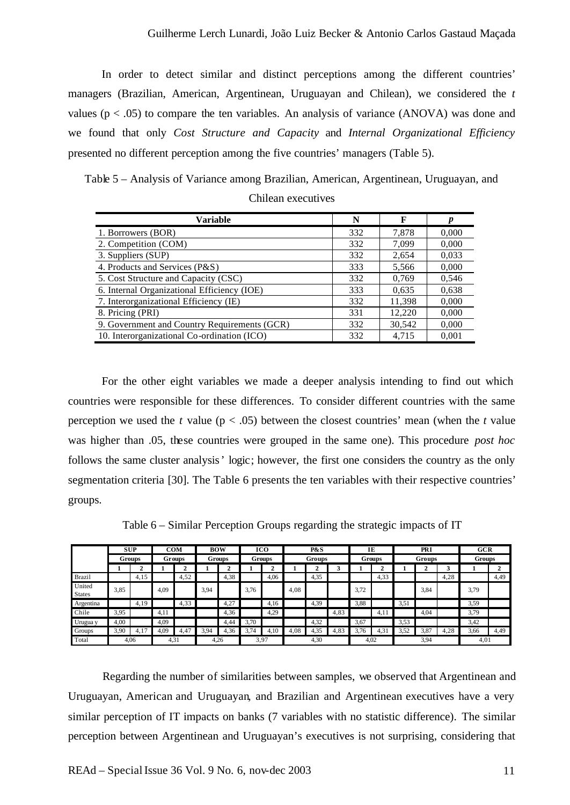In order to detect similar and distinct perceptions among the different countries' managers (Brazilian, American, Argentinean, Uruguayan and Chilean), we considered the *t*  values ( $p < .05$ ) to compare the ten variables. An analysis of variance (ANOVA) was done and we found that only *Cost Structure and Capacity* and *Internal Organizational Efficiency* presented no different perception among the five countries' managers (Table 5).

Table 5 – Analysis of Variance among Brazilian, American, Argentinean, Uruguayan, and Chilean executives

| Variable                                     | N   | F      | D     |
|----------------------------------------------|-----|--------|-------|
| 1. Borrowers (BOR)                           | 332 | 7,878  | 0.000 |
| 2. Competition (COM)                         | 332 | 7,099  | 0.000 |
| 3. Suppliers (SUP)                           | 332 | 2,654  | 0.033 |
| 4. Products and Services (P&S)               | 333 | 5,566  | 0.000 |
| 5. Cost Structure and Capacity (CSC)         | 332 | 0,769  | 0,546 |
| 6. Internal Organizational Efficiency (IOE)  | 333 | 0.635  | 0.638 |
| 7. Interorganizational Efficiency (IE)       | 332 | 11,398 | 0.000 |
| 8. Pricing (PRI)                             | 331 | 12,220 | 0,000 |
| 9. Government and Country Requirements (GCR) | 332 | 30,542 | 0.000 |
| 10. Interorganizational Co-ordination (ICO)  | 332 | 4,715  | 0,001 |

For the other eight variables we made a deeper analysis intending to find out which countries were responsible for these differences. To consider different countries with the same perception we used the *t* value ( $p < .05$ ) between the closest countries' mean (when the *t* value was higher than .05, these countries were grouped in the same one). This procedure *post hoc* follows the same cluster analysis' logic; however, the first one considers the country as the only segmentation criteria [30]. The Table 6 presents the ten variables with their respective countries' groups.

Table 6 – Similar Perception Groups regarding the strategic impacts of IT

|                         |      | <b>SUP</b><br>ICO<br>P&S<br><b>COM</b><br><b>BOW</b><br>IE |        |      |      | PRI  |      | <b>GCR</b> |      |      |      |      |      |      |      |        |        |      |  |        |  |               |  |        |  |  |               |  |
|-------------------------|------|------------------------------------------------------------|--------|------|------|------|------|------------|------|------|------|------|------|------|------|--------|--------|------|--|--------|--|---------------|--|--------|--|--|---------------|--|
|                         |      | Groups                                                     | Groups |      |      |      |      |            |      |      |      |      |      |      |      | Groups | Groups |      |  | Groups |  | <b>Groups</b> |  | Groups |  |  | <b>Groups</b> |  |
|                         |      |                                                            |        |      |      |      |      |            |      |      |      |      |      |      |      |        |        |      |  |        |  |               |  |        |  |  |               |  |
| <b>Brazil</b>           |      | 4,15                                                       |        | 4,52 |      | 4,38 |      | 4,06       |      | 4,35 |      |      | 4,33 |      |      | 4,28   |        | 4,49 |  |        |  |               |  |        |  |  |               |  |
| United<br><b>States</b> | 3,85 |                                                            | 4,09   |      | 3,94 |      | 3,76 |            | 4,08 |      |      | 3,72 |      |      | 3,84 |        | 3,79   |      |  |        |  |               |  |        |  |  |               |  |
| Argentina               |      | 4,19                                                       |        | 4,33 |      | 4,27 |      | 4.16       |      | 4,39 |      | 3,88 |      | 3,51 |      |        | 3.59   |      |  |        |  |               |  |        |  |  |               |  |
| Chile                   | 3,95 |                                                            | 4,11   |      |      | 4,36 |      | 4,29       |      |      | 4,83 |      | 4.1  |      | 4,04 |        | 3,79   |      |  |        |  |               |  |        |  |  |               |  |
| Urugua y                | 4,00 |                                                            | 4,09   |      |      | 4,44 | 3,70 |            |      | 4,32 |      | 3,67 |      | 3,53 |      |        | 3,42   |      |  |        |  |               |  |        |  |  |               |  |
| Groups                  | 3,90 | 4,17                                                       | 4,09   | 4.47 | 3.94 | 4,36 | 3,74 | 4.10       | 4,08 | 4,35 | 4,83 | 3.76 | 4.3' | 3,52 | 3,87 | 4,28   | 3,66   | 4,49 |  |        |  |               |  |        |  |  |               |  |
| Total                   |      | 4,06                                                       | 4,31   |      | 4,26 |      |      | 3,97       |      | 4,30 |      | 4,02 |      |      | 3,94 |        | 4,01   |      |  |        |  |               |  |        |  |  |               |  |

Regarding the number of similarities between samples, we observed that Argentinean and Uruguayan, American and Uruguayan, and Brazilian and Argentinean executives have a very similar perception of IT impacts on banks (7 variables with no statistic difference). The similar perception between Argentinean and Uruguayan's executives is not surprising, considering that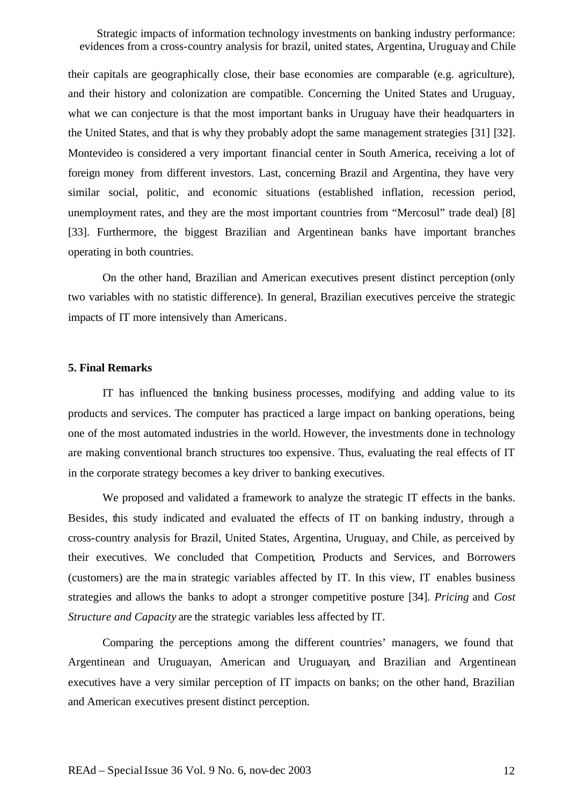their capitals are geographically close, their base economies are comparable (e.g. agriculture), and their history and colonization are compatible. Concerning the United States and Uruguay, what we can conjecture is that the most important banks in Uruguay have their headquarters in the United States, and that is why they probably adopt the same management strategies [31] [32]. Montevideo is considered a very important financial center in South America, receiving a lot of foreign money from different investors. Last, concerning Brazil and Argentina, they have very similar social, politic, and economic situations (established inflation, recession period, unemployment rates, and they are the most important countries from "Mercosul" trade deal) [8] [33]. Furthermore, the biggest Brazilian and Argentinean banks have important branches operating in both countries.

On the other hand, Brazilian and American executives present distinct perception (only two variables with no statistic difference). In general, Brazilian executives perceive the strategic impacts of IT more intensively than Americans.

#### **5. Final Remarks**

IT has influenced the banking business processes, modifying and adding value to its products and services. The computer has practiced a large impact on banking operations, being one of the most automated industries in the world. However, the investments done in technology are making conventional branch structures too expensive. Thus, evaluating the real effects of IT in the corporate strategy becomes a key driver to banking executives.

We proposed and validated a framework to analyze the strategic IT effects in the banks. Besides, this study indicated and evaluated the effects of IT on banking industry, through a cross-country analysis for Brazil, United States, Argentina, Uruguay, and Chile, as perceived by their executives. We concluded that Competition, Products and Services, and Borrowers (customers) are the main strategic variables affected by IT. In this view, IT enables business strategies and allows the banks to adopt a stronger competitive posture [34]. *Pricing* and *Cost Structure and Capacity* are the strategic variables less affected by IT.

Comparing the perceptions among the different countries' managers, we found that Argentinean and Uruguayan, American and Uruguayan, and Brazilian and Argentinean executives have a very similar perception of IT impacts on banks; on the other hand, Brazilian and American executives present distinct perception.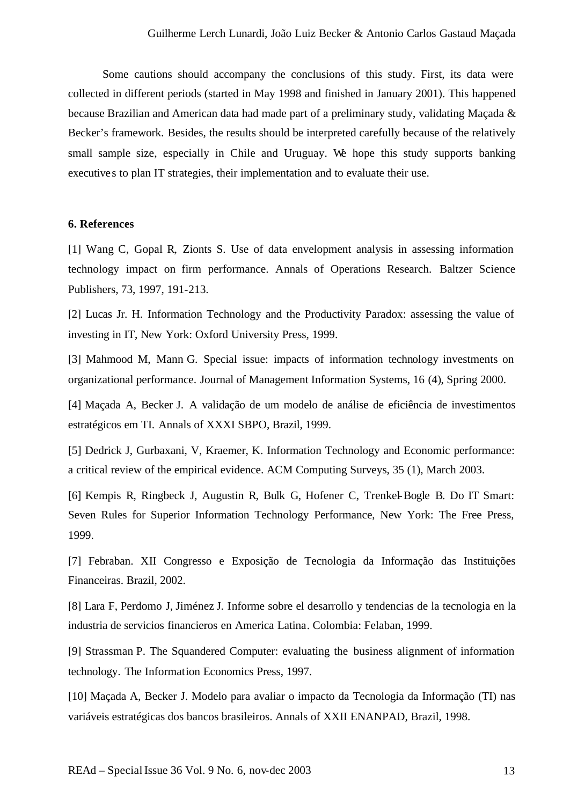Some cautions should accompany the conclusions of this study. First, its data were collected in different periods (started in May 1998 and finished in January 2001). This happened because Brazilian and American data had made part of a preliminary study, validating Maçada & Becker's framework. Besides, the results should be interpreted carefully because of the relatively small sample size, especially in Chile and Uruguay. We hope this study supports banking executives to plan IT strategies, their implementation and to evaluate their use.

#### **6. References**

[1] Wang C, Gopal R, Zionts S. Use of data envelopment analysis in assessing information technology impact on firm performance. Annals of Operations Research. Baltzer Science Publishers, 73, 1997, 191-213.

[2] Lucas Jr. H. Information Technology and the Productivity Paradox: assessing the value of investing in IT, New York: Oxford University Press, 1999.

[3] Mahmood M, Mann G. Special issue: impacts of information technology investments on organizational performance. Journal of Management Information Systems, 16 (4), Spring 2000.

[4] Maçada A, Becker J. A validação de um modelo de análise de eficiência de investimentos estratégicos em TI. Annals of XXXI SBPO, Brazil, 1999.

[5] Dedrick J, Gurbaxani, V, Kraemer, K. Information Technology and Economic performance: a critical review of the empirical evidence. ACM Computing Surveys, 35 (1), March 2003.

[6] Kempis R, Ringbeck J, Augustin R, Bulk G, Hofener C, Trenkel-Bogle B. Do IT Smart: Seven Rules for Superior Information Technology Performance, New York: The Free Press, 1999.

[7] Febraban. XII Congresso e Exposição de Tecnologia da Informação das Instituições Financeiras. Brazil, 2002.

[8] Lara F, Perdomo J, Jiménez J. Informe sobre el desarrollo y tendencias de la tecnologia en la industria de servicios financieros en America Latina. Colombia: Felaban, 1999.

[9] Strassman P. The Squandered Computer: evaluating the business alignment of information technology. The Information Economics Press, 1997.

[10] Maçada A, Becker J. Modelo para avaliar o impacto da Tecnologia da Informação (TI) nas variáveis estratégicas dos bancos brasileiros. Annals of XXII ENANPAD, Brazil, 1998.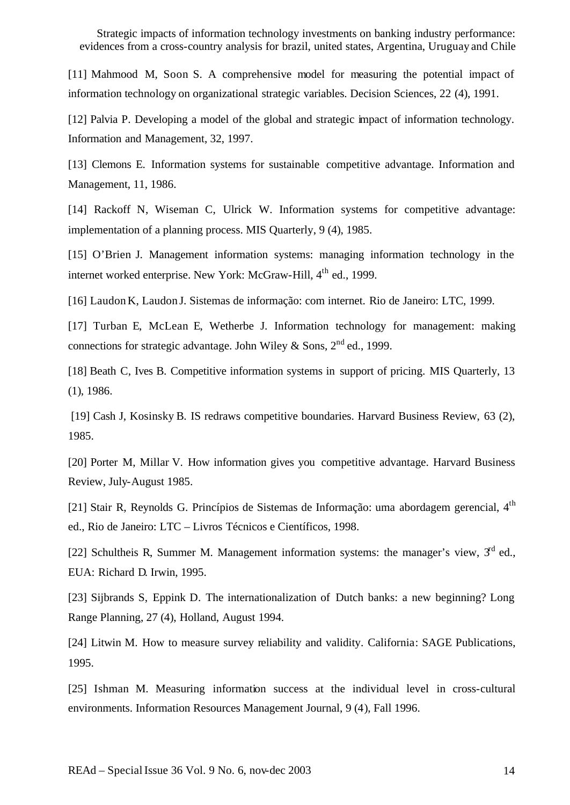[11] Mahmood M, Soon S. A comprehensive model for measuring the potential impact of information technology on organizational strategic variables. Decision Sciences, 22 (4), 1991.

[12] Palvia P. Developing a model of the global and strategic impact of information technology. Information and Management, 32, 1997.

[13] Clemons E. Information systems for sustainable competitive advantage. Information and Management, 11, 1986.

[14] Rackoff N, Wiseman C, Ulrick W. Information systems for competitive advantage: implementation of a planning process. MIS Quarterly, 9 (4), 1985.

[15] O'Brien J. Management information systems: managing information technology in the internet worked enterprise. New York: McGraw-Hill, 4<sup>th</sup> ed., 1999.

[16] Laudon K, Laudon J. Sistemas de informação: com internet. Rio de Janeiro: LTC, 1999.

[17] Turban E, McLean E, Wetherbe J. Information technology for management: making connections for strategic advantage. John Wiley & Sons,  $2<sup>nd</sup>$  ed., 1999.

[18] Beath C, Ives B. Competitive information systems in support of pricing. MIS Quarterly, 13 (1), 1986.

[19] Cash J, Kosinsky B. IS redraws competitive boundaries. Harvard Business Review, 63 (2), 1985.

[20] Porter M, Millar V. How information gives you competitive advantage. Harvard Business Review, July-August 1985.

[21] Stair R, Reynolds G. Princípios de Sistemas de Informação: uma abordagem gerencial, 4<sup>th</sup> ed., Rio de Janeiro: LTC – Livros Técnicos e Científicos, 1998.

[22] Schultheis R, Summer M. Management information systems: the manager's view,  $3<sup>rd</sup>$  ed., EUA: Richard D. Irwin, 1995.

[23] Sijbrands S, Eppink D. The internationalization of Dutch banks: a new beginning? Long Range Planning, 27 (4), Holland, August 1994.

[24] Litwin M. How to measure survey reliability and validity. California: SAGE Publications, 1995.

[25] Ishman M. Measuring information success at the individual level in cross-cultural environments. Information Resources Management Journal, 9 (4), Fall 1996.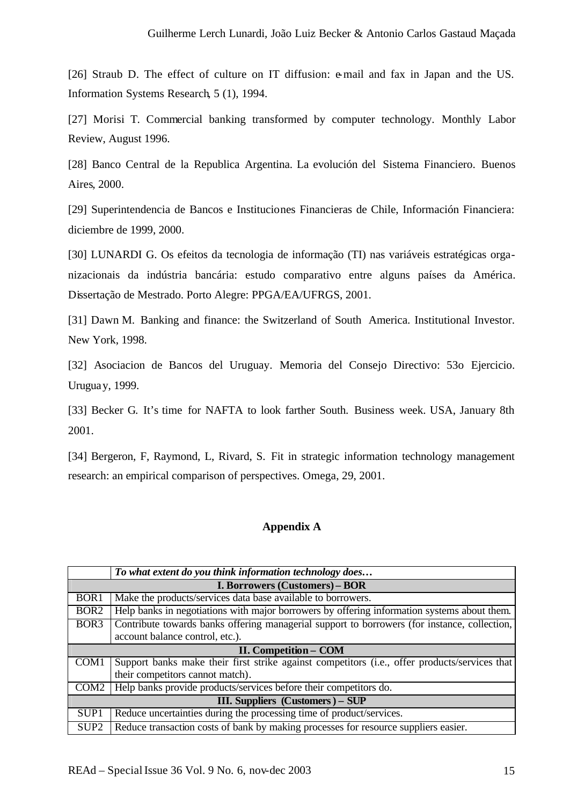[26] Straub D. The effect of culture on IT diffusion: e-mail and fax in Japan and the US. Information Systems Research, 5 (1), 1994.

[27] Morisi T. Commercial banking transformed by computer technology. Monthly Labor Review, August 1996.

[28] Banco Central de la Republica Argentina. La evolución del Sistema Financiero. Buenos Aires, 2000.

[29] Superintendencia de Bancos e Instituciones Financieras de Chile, Información Financiera: diciembre de 1999, 2000.

[30] LUNARDI G. Os efeitos da tecnologia de informação (TI) nas variáveis estratégicas organizacionais da indústria bancária: estudo comparativo entre alguns países da América. Dissertação de Mestrado. Porto Alegre: PPGA/EA/UFRGS, 2001.

[31] Dawn M. Banking and finance: the Switzerland of South America. Institutional Investor. New York, 1998.

[32] Asociacion de Bancos del Uruguay. Memoria del Consejo Directivo: 53o Ejercicio. Uruguay, 1999.

[33] Becker G. It's time for NAFTA to look farther South. Business week. USA, January 8th 2001.

[34] Bergeron, F, Raymond, L, Rivard, S. Fit in strategic information technology management research: an empirical comparison of perspectives. Omega, 29, 2001.

## **Appendix A**

|                                       | To what extent do you think information technology does                                       |  |  |  |  |  |
|---------------------------------------|-----------------------------------------------------------------------------------------------|--|--|--|--|--|
| <b>I. Borrowers (Customers) – BOR</b> |                                                                                               |  |  |  |  |  |
| BOR <sub>1</sub>                      | Make the products/services data base available to borrowers.                                  |  |  |  |  |  |
| BOR <sub>2</sub>                      | Help banks in negotiations with major borrowers by offering information systems about them.   |  |  |  |  |  |
| BOR <sub>3</sub>                      | Contribute towards banks offering managerial support to borrowers (for instance, collection,  |  |  |  |  |  |
|                                       | account balance control, etc.).                                                               |  |  |  |  |  |
| <b>II. Competition - COM</b>          |                                                                                               |  |  |  |  |  |
| COM1                                  | Support banks make their first strike against competitors (i.e., offer products/services that |  |  |  |  |  |
|                                       | their competitors cannot match).                                                              |  |  |  |  |  |
| COM <sub>2</sub>                      | Help banks provide products/services before their competitors do.                             |  |  |  |  |  |
| III. Suppliers (Customers) – SUP      |                                                                                               |  |  |  |  |  |
| SUP <sub>1</sub>                      | Reduce uncertainties during the processing time of product/services.                          |  |  |  |  |  |
| SUP <sub>2</sub>                      | Reduce transaction costs of bank by making processes for resource suppliers easier.           |  |  |  |  |  |